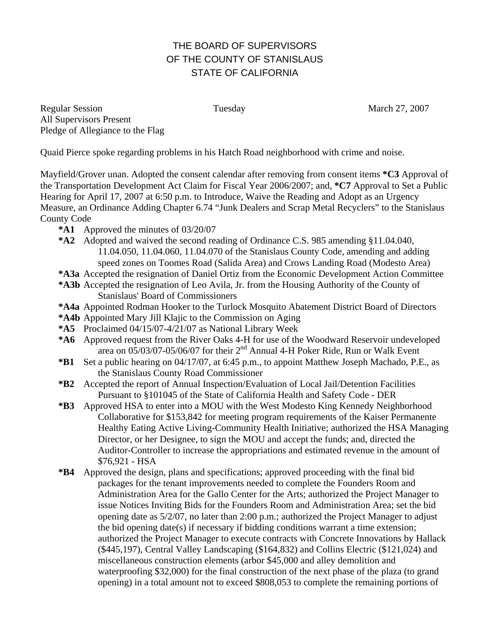## THE BOARD OF SUPERVISORS OF THE COUNTY OF STANISLAUS STATE OF CALIFORNIA

Regular Session Tuesday Tuesday March 27, 2007 All Supervisors Present Pledge of Allegiance to the Flag

Quaid Pierce spoke regarding problems in his Hatch Road neighborhood with crime and noise.

Mayfield/Grover unan. Adopted the consent calendar after removing from consent items **\*C3** Approval of the Transportation Development Act Claim for Fiscal Year 2006/2007; and, **\*C7** Approval to Set a Public Hearing for April 17, 2007 at 6:50 p.m. to Introduce, Waive the Reading and Adopt as an Urgency Measure, an Ordinance Adding Chapter 6.74 "Junk Dealers and Scrap Metal Recyclers" to the Stanislaus County Code

- **\*A1** Approved the minutes of 03/20/07
- **\*A2** Adopted and waived the second reading of Ordinance C.S. 985 amending §11.04.040, 11.04.050, 11.04.060, 11.04.070 of the Stanislaus County Code, amending and adding speed zones on Toomes Road (Salida Area) and Crows Landing Road (Modesto Area)
- **\*A3a** Accepted the resignation of Daniel Ortiz from the Economic Development Action Committee
- **\*A3b** Accepted the resignation of Leo Avila, Jr. from the Housing Authority of the County of
	- Stanislaus' Board of Commissioners
- **\*A4a** Appointed Rodman Hooker to the Turlock Mosquito Abatement District Board of Directors
- **\*A4b** Appointed Mary Jill Klajic to the Commission on Aging
- **\*A5** Proclaimed 04/15/07-4/21/07 as National Library Week
- **\*A6** Approved request from the River Oaks 4-H for use of the Woodward Reservoir undeveloped area on  $0.05/03/07$ -05/06/07 for their  $2<sup>nd</sup>$  Annual 4-H Poker Ride, Run or Walk Event
- **\*B1** Set a public hearing on 04/17/07, at 6:45 p.m., to appoint Matthew Joseph Machado, P.E., as the Stanislaus County Road Commissioner
- **\*B2** Accepted the report of Annual Inspection/Evaluation of Local Jail/Detention Facilities Pursuant to §101045 of the State of California Health and Safety Code - DER
- **\*B3** Approved HSA to enter into a MOU with the West Modesto King Kennedy Neighborhood Collaborative for \$153,842 for meeting program requirements of the Kaiser Permanente Healthy Eating Active Living-Community Health Initiative; authorized the HSA Managing Director, or her Designee, to sign the MOU and accept the funds; and, directed the Auditor-Controller to increase the appropriations and estimated revenue in the amount of \$76,921 - HSA
- **\*B4** Approved the design, plans and specifications; approved proceeding with the final bid packages for the tenant improvements needed to complete the Founders Room and Administration Area for the Gallo Center for the Arts; authorized the Project Manager to issue Notices Inviting Bids for the Founders Room and Administration Area; set the bid opening date as 5/2/07, no later than 2:00 p.m.; authorized the Project Manager to adjust the bid opening date(s) if necessary if bidding conditions warrant a time extension; authorized the Project Manager to execute contracts with Concrete Innovations by Hallack (\$445,197), Central Valley Landscaping (\$164,832) and Collins Electric (\$121,024) and miscellaneous construction elements (arbor \$45,000 and alley demolition and waterproofing \$32,000) for the final construction of the next phase of the plaza (to grand opening) in a total amount not to exceed \$808,053 to complete the remaining portions of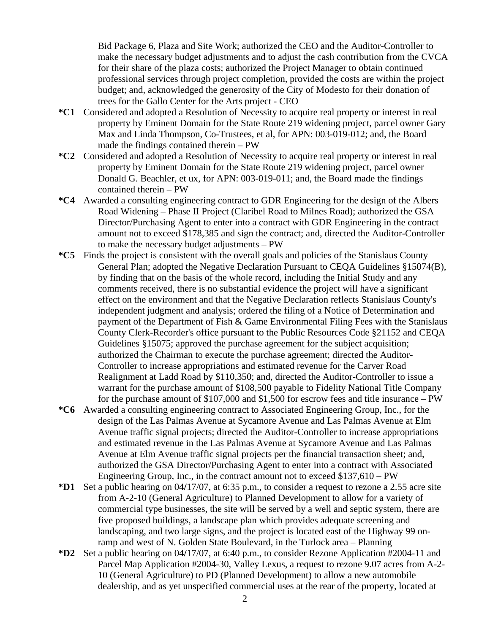Bid Package 6, Plaza and Site Work; authorized the CEO and the Auditor-Controller to make the necessary budget adjustments and to adjust the cash contribution from the CVCA for their share of the plaza costs; authorized the Project Manager to obtain continued professional services through project completion, provided the costs are within the project budget; and, acknowledged the generosity of the City of Modesto for their donation of trees for the Gallo Center for the Arts project - CEO

- **\*C1** Considered and adopted a Resolution of Necessity to acquire real property or interest in real property by Eminent Domain for the State Route 219 widening project, parcel owner Gary Max and Linda Thompson, Co-Trustees, et al, for APN: 003-019-012; and, the Board made the findings contained therein – PW
- **\*C2** Considered and adopted a Resolution of Necessity to acquire real property or interest in real property by Eminent Domain for the State Route 219 widening project, parcel owner Donald G. Beachler, et ux, for APN: 003-019-011; and, the Board made the findings contained therein – PW
- **\*C4** Awarded a consulting engineering contract to GDR Engineering for the design of the Albers Road Widening – Phase II Project (Claribel Road to Milnes Road); authorized the GSA Director/Purchasing Agent to enter into a contract with GDR Engineering in the contract amount not to exceed \$178,385 and sign the contract; and, directed the Auditor-Controller to make the necessary budget adjustments – PW
- **\*C5** Finds the project is consistent with the overall goals and policies of the Stanislaus County General Plan; adopted the Negative Declaration Pursuant to CEQA Guidelines §15074(B), by finding that on the basis of the whole record, including the Initial Study and any comments received, there is no substantial evidence the project will have a significant effect on the environment and that the Negative Declaration reflects Stanislaus County's independent judgment and analysis; ordered the filing of a Notice of Determination and payment of the Department of Fish & Game Environmental Filing Fees with the Stanislaus County Clerk-Recorder's office pursuant to the Public Resources Code §21152 and CEQA Guidelines §15075; approved the purchase agreement for the subject acquisition; authorized the Chairman to execute the purchase agreement; directed the Auditor-Controller to increase appropriations and estimated revenue for the Carver Road Realignment at Ladd Road by \$110,350; and, directed the Auditor-Controller to issue a warrant for the purchase amount of \$108,500 payable to Fidelity National Title Company for the purchase amount of \$107,000 and \$1,500 for escrow fees and title insurance – PW
- **\*C6** Awarded a consulting engineering contract to Associated Engineering Group, Inc., for the design of the Las Palmas Avenue at Sycamore Avenue and Las Palmas Avenue at Elm Avenue traffic signal projects; directed the Auditor-Controller to increase appropriations and estimated revenue in the Las Palmas Avenue at Sycamore Avenue and Las Palmas Avenue at Elm Avenue traffic signal projects per the financial transaction sheet; and, authorized the GSA Director/Purchasing Agent to enter into a contract with Associated Engineering Group, Inc., in the contract amount not to exceed  $$137,610 - PW$
- **\*D1** Set a public hearing on 04**/**17/07, at 6:35 p.m., to consider a request to rezone a 2.55 acre site from A-2-10 (General Agriculture) to Planned Development to allow for a variety of commercial type businesses, the site will be served by a well and septic system, there are five proposed buildings, a landscape plan which provides adequate screening and landscaping, and two large signs, and the project is located east of the Highway 99 onramp and west of N. Golden State Boulevard, in the Turlock area – Planning
- **\*D2** Set a public hearing on 04**/**17/07, at 6:40 p.m., to consider Rezone Application #2004-11 and Parcel Map Application #2004-30, Valley Lexus, a request to rezone 9.07 acres from A-2- 10 (General Agriculture) to PD (Planned Development) to allow a new automobile dealership, and as yet unspecified commercial uses at the rear of the property, located at